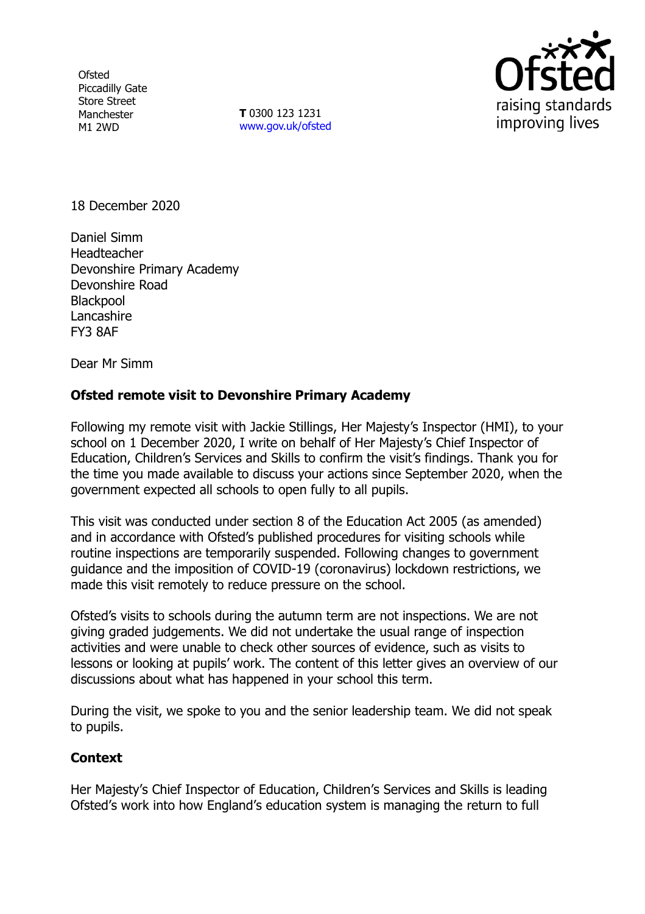**Ofsted** Piccadilly Gate Store Street Manchester M1 2WD

**T** 0300 123 1231 [www.gov.uk/ofsted](http://www.gov.uk/ofsted)



18 December 2020

Daniel Simm **Headteacher** Devonshire Primary Academy Devonshire Road **Blackpool Lancashire** FY3 8AF

Dear Mr Simm

## **Ofsted remote visit to Devonshire Primary Academy**

Following my remote visit with Jackie Stillings, Her Majesty's Inspector (HMI), to your school on 1 December 2020, I write on behalf of Her Majesty's Chief Inspector of Education, Children's Services and Skills to confirm the visit's findings. Thank you for the time you made available to discuss your actions since September 2020, when the government expected all schools to open fully to all pupils.

This visit was conducted under section 8 of the Education Act 2005 (as amended) and in accordance with Ofsted's published procedures for visiting schools while routine inspections are temporarily suspended. Following changes to government guidance and the imposition of COVID-19 (coronavirus) lockdown restrictions, we made this visit remotely to reduce pressure on the school.

Ofsted's visits to schools during the autumn term are not inspections. We are not giving graded judgements. We did not undertake the usual range of inspection activities and were unable to check other sources of evidence, such as visits to lessons or looking at pupils' work. The content of this letter gives an overview of our discussions about what has happened in your school this term.

During the visit, we spoke to you and the senior leadership team. We did not speak to pupils.

## **Context**

Her Majesty's Chief Inspector of Education, Children's Services and Skills is leading Ofsted's work into how England's education system is managing the return to full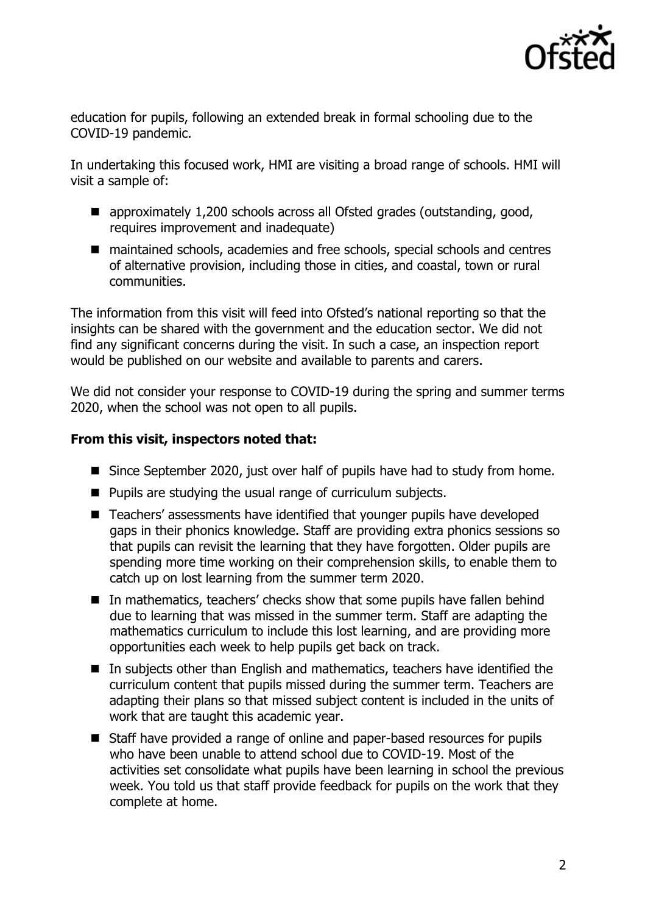

education for pupils, following an extended break in formal schooling due to the COVID-19 pandemic.

In undertaking this focused work, HMI are visiting a broad range of schools. HMI will visit a sample of:

- approximately 1,200 schools across all Ofsted grades (outstanding, good, requires improvement and inadequate)
- maintained schools, academies and free schools, special schools and centres of alternative provision, including those in cities, and coastal, town or rural communities.

The information from this visit will feed into Ofsted's national reporting so that the insights can be shared with the government and the education sector. We did not find any significant concerns during the visit. In such a case, an inspection report would be published on our website and available to parents and carers.

We did not consider your response to COVID-19 during the spring and summer terms 2020, when the school was not open to all pupils.

## **From this visit, inspectors noted that:**

- Since September 2020, just over half of pupils have had to study from home.
- $\blacksquare$  Pupils are studying the usual range of curriculum subjects.
- Teachers' assessments have identified that younger pupils have developed gaps in their phonics knowledge. Staff are providing extra phonics sessions so that pupils can revisit the learning that they have forgotten. Older pupils are spending more time working on their comprehension skills, to enable them to catch up on lost learning from the summer term 2020.
- In mathematics, teachers' checks show that some pupils have fallen behind due to learning that was missed in the summer term. Staff are adapting the mathematics curriculum to include this lost learning, and are providing more opportunities each week to help pupils get back on track.
- In subjects other than English and mathematics, teachers have identified the curriculum content that pupils missed during the summer term. Teachers are adapting their plans so that missed subject content is included in the units of work that are taught this academic year.
- Staff have provided a range of online and paper-based resources for pupils who have been unable to attend school due to COVID-19. Most of the activities set consolidate what pupils have been learning in school the previous week. You told us that staff provide feedback for pupils on the work that they complete at home.